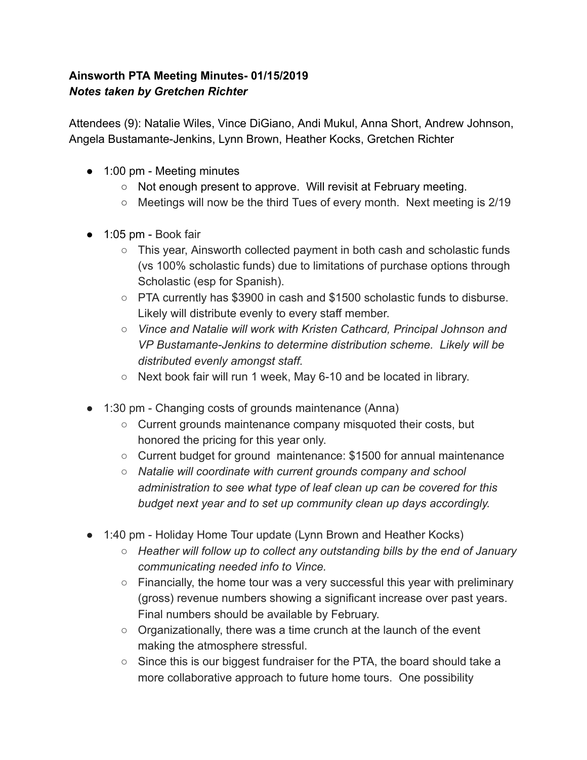## **Ainsworth PTA Meeting Minutes- 01/15/2019** *Notes taken by Gretchen Richter*

Attendees (9): Natalie Wiles, Vince DiGiano, Andi Mukul, Anna Short, Andrew Johnson, Angela Bustamante-Jenkins, Lynn Brown, Heather Kocks, Gretchen Richter

- 1:00 pm Meeting minutes
	- Not enough present to approve. Will revisit at February meeting.
	- $\circ$  Meetings will now be the third Tues of every month. Next meeting is 2/19
- 1:05 pm Book fair
	- This year, Ainsworth collected payment in both cash and scholastic funds (vs 100% scholastic funds) due to limitations of purchase options through Scholastic (esp for Spanish).
	- PTA currently has \$3900 in cash and \$1500 scholastic funds to disburse. Likely will distribute evenly to every staff member.
	- *○ Vince and Natalie will work with Kristen Cathcard, Principal Johnson and VP Bustamante-Jenkins to determine distribution scheme. Likely will be distributed evenly amongst staff.*
	- Next book fair will run 1 week, May 6-10 and be located in library.
- 1:30 pm Changing costs of grounds maintenance (Anna)
	- Current grounds maintenance company misquoted their costs, but honored the pricing for this year only.
	- $\circ$  Current budget for ground maintenance: \$1500 for annual maintenance
	- *○ Natalie will coordinate with current grounds company and school administration to see what type of leaf clean up can be covered for this budget next year and to set up community clean up days accordingly.*
- 1:40 pm Holiday Home Tour update (Lynn Brown and Heather Kocks)
	- *○ Heather will follow up to collect any outstanding bills by the end of January communicating needed info to Vince.*
	- Financially, the home tour was a very successful this year with preliminary (gross) revenue numbers showing a significant increase over past years. Final numbers should be available by February.
	- Organizationally, there was a time crunch at the launch of the event making the atmosphere stressful.
	- $\circ$  Since this is our biggest fundraiser for the PTA, the board should take a more collaborative approach to future home tours. One possibility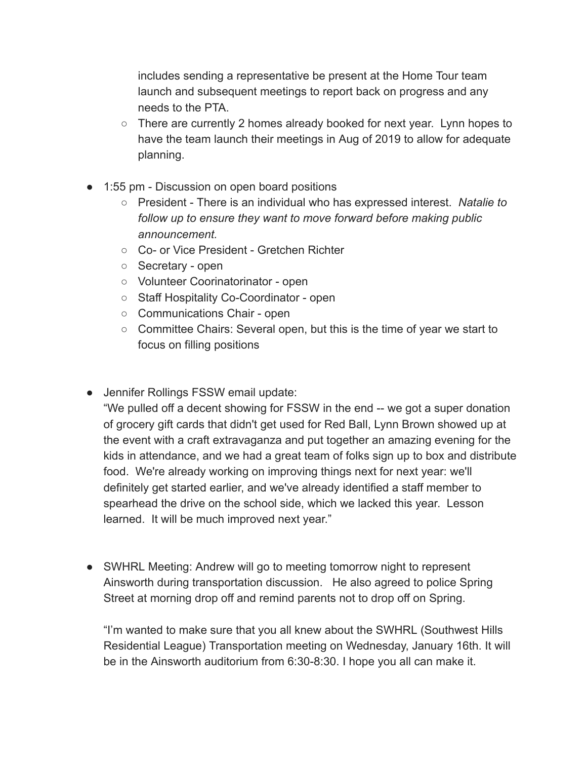includes sending a representative be present at the Home Tour team launch and subsequent meetings to report back on progress and any needs to the PTA.

- $\circ$  There are currently 2 homes already booked for next year. Lynn hopes to have the team launch their meetings in Aug of 2019 to allow for adequate planning.
- 1:55 pm Discussion on open board positions
	- President There is an individual who has expressed interest. *Natalie to follow up to ensure they want to move forward before making public announcement.*
	- Co- or Vice President Gretchen Richter
	- Secretary open
	- Volunteer Coorinatorinator open
	- Staff Hospitality Co-Coordinator open
	- Communications Chair open
	- Committee Chairs: Several open, but this is the time of year we start to focus on filling positions
- Jennifer Rollings FSSW email update:

"We pulled off a decent showing for FSSW in the end -- we got a super donation of grocery gift cards that didn't get used for Red Ball, Lynn Brown showed up at the event with a craft extravaganza and put together an amazing evening for the kids in attendance, and we had a great team of folks sign up to box and distribute food. We're already working on improving things next for next year: we'll definitely get started earlier, and we've already identified a staff member to spearhead the drive on the school side, which we lacked this year. Lesson learned. It will be much improved next year."

● SWHRL Meeting: Andrew will go to meeting tomorrow night to represent Ainsworth during transportation discussion. He also agreed to police Spring Street at morning drop off and remind parents not to drop off on Spring.

"I'm wanted to make sure that you all knew about the SWHRL (Southwest Hills Residential League) Transportation meeting on Wednesday, January 16th. It will be in the Ainsworth auditorium from 6:30-8:30. I hope you all can make it.